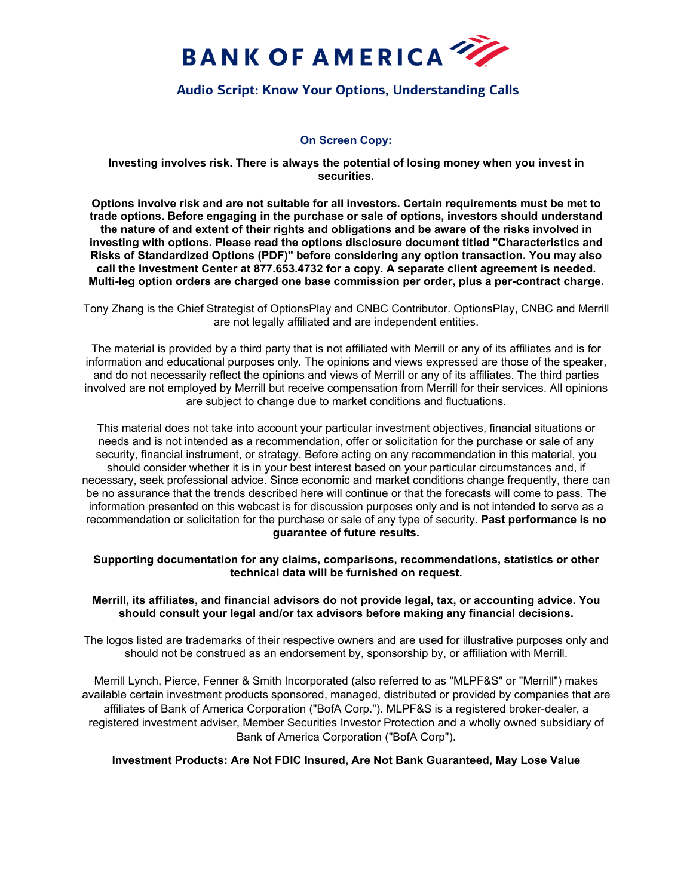

# **Audio Script: Know Your Options, Understanding Calls**

## **On Screen Copy:**

**Investing involves risk. There is always the potential of losing money when you invest in securities.**

**Options involve risk and are not suitable for all investors. Certain requirements must be met to trade options. Before engaging in the purchase or sale of options, investors should understand the nature of and extent of their rights and obligations and be aware of the risks involved in investing with options. Please read the options disclosure document titled ["Characteristics and](https://olui2.fs.ml.com/Publish/Content/application/pdf/GWMOL/riskstoc_supplement.pdf)  [Risks of Standardized Options \(PDF\)"](https://olui2.fs.ml.com/Publish/Content/application/pdf/GWMOL/riskstoc_supplement.pdf) before considering any option transaction. You may also call the Investment Center at 877.653.4732 for a copy. A separate client agreement is needed. Multi-leg option orders are charged one base commission per order, plus a per-contract charge.**

Tony Zhang is the Chief Strategist of OptionsPlay and CNBC Contributor. OptionsPlay, CNBC and Merrill are not legally affiliated and are independent entities.

The material is provided by a third party that is not affiliated with Merrill or any of its affiliates and is for information and educational purposes only. The opinions and views expressed are those of the speaker, and do not necessarily reflect the opinions and views of Merrill or any of its affiliates. The third parties involved are not employed by Merrill but receive compensation from Merrill for their services. All opinions are subject to change due to market conditions and fluctuations.

This material does not take into account your particular investment objectives, financial situations or needs and is not intended as a recommendation, offer or solicitation for the purchase or sale of any security, financial instrument, or strategy. Before acting on any recommendation in this material, you should consider whether it is in your best interest based on your particular circumstances and, if necessary, seek professional advice. Since economic and market conditions change frequently, there can be no assurance that the trends described here will continue or that the forecasts will come to pass. The information presented on this webcast is for discussion purposes only and is not intended to serve as a recommendation or solicitation for the purchase or sale of any type of security. **Past performance is no guarantee of future results.**

**Supporting documentation for any claims, comparisons, recommendations, statistics or other technical data will be furnished on request.**

### **Merrill, its affiliates, and financial advisors do not provide legal, tax, or accounting advice. You should consult your legal and/or tax advisors before making any financial decisions.**

The logos listed are trademarks of their respective owners and are used for illustrative purposes only and should not be construed as an endorsement by, sponsorship by, or affiliation with Merrill.

Merrill Lynch, Pierce, Fenner & Smith Incorporated (also referred to as "MLPF&S" or "Merrill") makes available certain investment products sponsored, managed, distributed or provided by companies that are affiliates of Bank of America Corporation ("BofA Corp."). MLPF&S is a registered broker-dealer, a registered investment adviser, Member Securities Investor Protection and a wholly owned subsidiary of Bank of America Corporation ("BofA Corp").

**Investment Products: Are Not FDIC Insured, Are Not Bank Guaranteed, May Lose Value**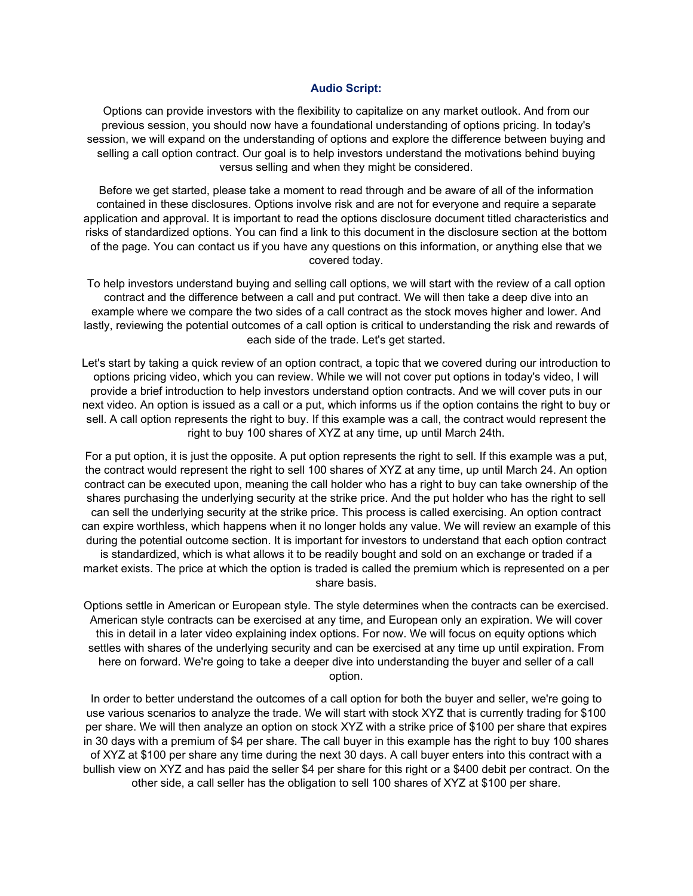#### **Audio Script:**

Options can provide investors with the flexibility to capitalize on any market outlook. And from our previous session, you should now have a foundational understanding of options pricing. In today's session, we will expand on the understanding of options and explore the difference between buying and selling a call option contract. Our goal is to help investors understand the motivations behind buying versus selling and when they might be considered.

Before we get started, please take a moment to read through and be aware of all of the information contained in these disclosures. Options involve risk and are not for everyone and require a separate application and approval. It is important to read the options disclosure document titled characteristics and risks of standardized options. You can find a link to this document in the disclosure section at the bottom of the page. You can contact us if you have any questions on this information, or anything else that we covered today.

To help investors understand buying and selling call options, we will start with the review of a call option contract and the difference between a call and put contract. We will then take a deep dive into an example where we compare the two sides of a call contract as the stock moves higher and lower. And lastly, reviewing the potential outcomes of a call option is critical to understanding the risk and rewards of each side of the trade. Let's get started.

Let's start by taking a quick review of an option contract, a topic that we covered during our introduction to options pricing video, which you can review. While we will not cover put options in today's video, I will provide a brief introduction to help investors understand option contracts. And we will cover puts in our next video. An option is issued as a call or a put, which informs us if the option contains the right to buy or sell. A call option represents the right to buy. If this example was a call, the contract would represent the right to buy 100 shares of XYZ at any time, up until March 24th.

For a put option, it is just the opposite. A put option represents the right to sell. If this example was a put, the contract would represent the right to sell 100 shares of XYZ at any time, up until March 24. An option contract can be executed upon, meaning the call holder who has a right to buy can take ownership of the shares purchasing the underlying security at the strike price. And the put holder who has the right to sell can sell the underlying security at the strike price. This process is called exercising. An option contract can expire worthless, which happens when it no longer holds any value. We will review an example of this during the potential outcome section. It is important for investors to understand that each option contract is standardized, which is what allows it to be readily bought and sold on an exchange or traded if a market exists. The price at which the option is traded is called the premium which is represented on a per share basis.

Options settle in American or European style. The style determines when the contracts can be exercised. American style contracts can be exercised at any time, and European only an expiration. We will cover this in detail in a later video explaining index options. For now. We will focus on equity options which settles with shares of the underlying security and can be exercised at any time up until expiration. From here on forward. We're going to take a deeper dive into understanding the buyer and seller of a call option.

In order to better understand the outcomes of a call option for both the buyer and seller, we're going to use various scenarios to analyze the trade. We will start with stock XYZ that is currently trading for \$100 per share. We will then analyze an option on stock XYZ with a strike price of \$100 per share that expires in 30 days with a premium of \$4 per share. The call buyer in this example has the right to buy 100 shares of XYZ at \$100 per share any time during the next 30 days. A call buyer enters into this contract with a bullish view on XYZ and has paid the seller \$4 per share for this right or a \$400 debit per contract. On the other side, a call seller has the obligation to sell 100 shares of XYZ at \$100 per share.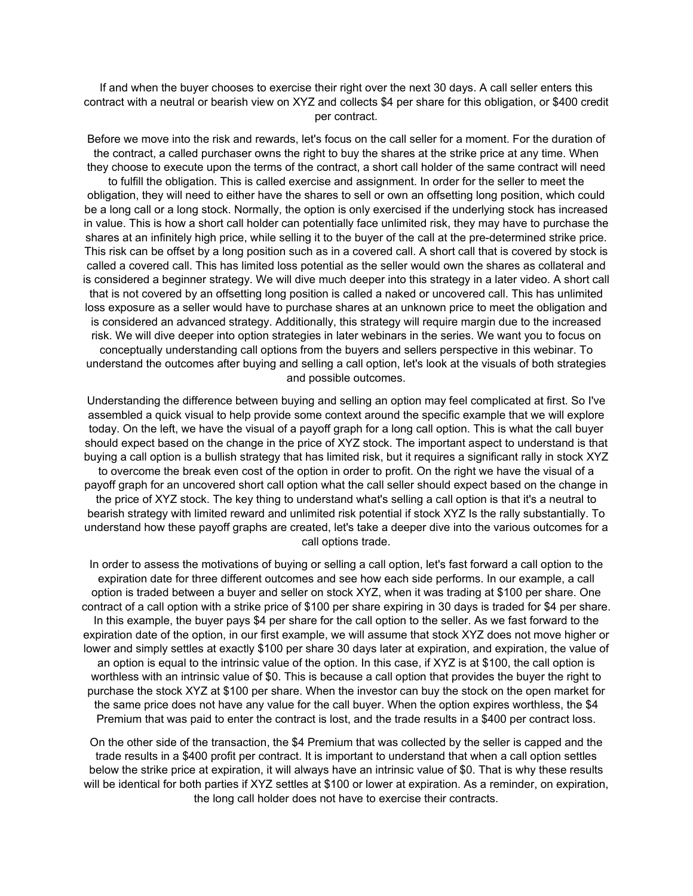If and when the buyer chooses to exercise their right over the next 30 days. A call seller enters this contract with a neutral or bearish view on XYZ and collects \$4 per share for this obligation, or \$400 credit per contract.

Before we move into the risk and rewards, let's focus on the call seller for a moment. For the duration of the contract, a called purchaser owns the right to buy the shares at the strike price at any time. When they choose to execute upon the terms of the contract, a short call holder of the same contract will need to fulfill the obligation. This is called exercise and assignment. In order for the seller to meet the obligation, they will need to either have the shares to sell or own an offsetting long position, which could be a long call or a long stock. Normally, the option is only exercised if the underlying stock has increased in value. This is how a short call holder can potentially face unlimited risk, they may have to purchase the shares at an infinitely high price, while selling it to the buyer of the call at the pre-determined strike price. This risk can be offset by a long position such as in a covered call. A short call that is covered by stock is called a covered call. This has limited loss potential as the seller would own the shares as collateral and is considered a beginner strategy. We will dive much deeper into this strategy in a later video. A short call that is not covered by an offsetting long position is called a naked or uncovered call. This has unlimited loss exposure as a seller would have to purchase shares at an unknown price to meet the obligation and is considered an advanced strategy. Additionally, this strategy will require margin due to the increased risk. We will dive deeper into option strategies in later webinars in the series. We want you to focus on conceptually understanding call options from the buyers and sellers perspective in this webinar. To understand the outcomes after buying and selling a call option, let's look at the visuals of both strategies and possible outcomes.

Understanding the difference between buying and selling an option may feel complicated at first. So I've assembled a quick visual to help provide some context around the specific example that we will explore today. On the left, we have the visual of a payoff graph for a long call option. This is what the call buyer should expect based on the change in the price of XYZ stock. The important aspect to understand is that buying a call option is a bullish strategy that has limited risk, but it requires a significant rally in stock XYZ to overcome the break even cost of the option in order to profit. On the right we have the visual of a payoff graph for an uncovered short call option what the call seller should expect based on the change in the price of XYZ stock. The key thing to understand what's selling a call option is that it's a neutral to bearish strategy with limited reward and unlimited risk potential if stock XYZ Is the rally substantially. To understand how these payoff graphs are created, let's take a deeper dive into the various outcomes for a call options trade.

In order to assess the motivations of buying or selling a call option, let's fast forward a call option to the expiration date for three different outcomes and see how each side performs. In our example, a call option is traded between a buyer and seller on stock XYZ, when it was trading at \$100 per share. One contract of a call option with a strike price of \$100 per share expiring in 30 days is traded for \$4 per share. In this example, the buyer pays \$4 per share for the call option to the seller. As we fast forward to the expiration date of the option, in our first example, we will assume that stock XYZ does not move higher or lower and simply settles at exactly \$100 per share 30 days later at expiration, and expiration, the value of an option is equal to the intrinsic value of the option. In this case, if XYZ is at \$100, the call option is worthless with an intrinsic value of \$0. This is because a call option that provides the buyer the right to purchase the stock XYZ at \$100 per share. When the investor can buy the stock on the open market for the same price does not have any value for the call buyer. When the option expires worthless, the \$4 Premium that was paid to enter the contract is lost, and the trade results in a \$400 per contract loss.

On the other side of the transaction, the \$4 Premium that was collected by the seller is capped and the trade results in a \$400 profit per contract. It is important to understand that when a call option settles below the strike price at expiration, it will always have an intrinsic value of \$0. That is why these results will be identical for both parties if XYZ settles at \$100 or lower at expiration. As a reminder, on expiration, the long call holder does not have to exercise their contracts.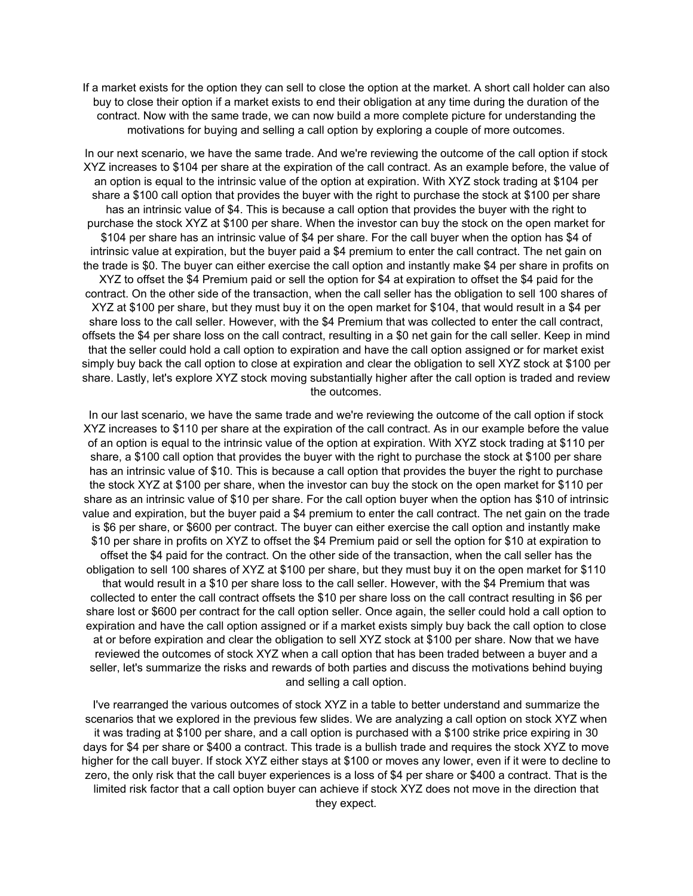If a market exists for the option they can sell to close the option at the market. A short call holder can also buy to close their option if a market exists to end their obligation at any time during the duration of the contract. Now with the same trade, we can now build a more complete picture for understanding the motivations for buying and selling a call option by exploring a couple of more outcomes.

In our next scenario, we have the same trade. And we're reviewing the outcome of the call option if stock XYZ increases to \$104 per share at the expiration of the call contract. As an example before, the value of an option is equal to the intrinsic value of the option at expiration. With XYZ stock trading at \$104 per share a \$100 call option that provides the buyer with the right to purchase the stock at \$100 per share has an intrinsic value of \$4. This is because a call option that provides the buyer with the right to purchase the stock XYZ at \$100 per share. When the investor can buy the stock on the open market for \$104 per share has an intrinsic value of \$4 per share. For the call buyer when the option has \$4 of intrinsic value at expiration, but the buyer paid a \$4 premium to enter the call contract. The net gain on the trade is \$0. The buyer can either exercise the call option and instantly make \$4 per share in profits on XYZ to offset the \$4 Premium paid or sell the option for \$4 at expiration to offset the \$4 paid for the contract. On the other side of the transaction, when the call seller has the obligation to sell 100 shares of XYZ at \$100 per share, but they must buy it on the open market for \$104, that would result in a \$4 per share loss to the call seller. However, with the \$4 Premium that was collected to enter the call contract, offsets the \$4 per share loss on the call contract, resulting in a \$0 net gain for the call seller. Keep in mind that the seller could hold a call option to expiration and have the call option assigned or for market exist simply buy back the call option to close at expiration and clear the obligation to sell XYZ stock at \$100 per share. Lastly, let's explore XYZ stock moving substantially higher after the call option is traded and review the outcomes.

In our last scenario, we have the same trade and we're reviewing the outcome of the call option if stock XYZ increases to \$110 per share at the expiration of the call contract. As in our example before the value of an option is equal to the intrinsic value of the option at expiration. With XYZ stock trading at \$110 per share, a \$100 call option that provides the buyer with the right to purchase the stock at \$100 per share has an intrinsic value of \$10. This is because a call option that provides the buyer the right to purchase the stock XYZ at \$100 per share, when the investor can buy the stock on the open market for \$110 per share as an intrinsic value of \$10 per share. For the call option buyer when the option has \$10 of intrinsic value and expiration, but the buyer paid a \$4 premium to enter the call contract. The net gain on the trade is \$6 per share, or \$600 per contract. The buyer can either exercise the call option and instantly make \$10 per share in profits on XYZ to offset the \$4 Premium paid or sell the option for \$10 at expiration to offset the \$4 paid for the contract. On the other side of the transaction, when the call seller has the obligation to sell 100 shares of XYZ at \$100 per share, but they must buy it on the open market for \$110 that would result in a \$10 per share loss to the call seller. However, with the \$4 Premium that was collected to enter the call contract offsets the \$10 per share loss on the call contract resulting in \$6 per share lost or \$600 per contract for the call option seller. Once again, the seller could hold a call option to expiration and have the call option assigned or if a market exists simply buy back the call option to close at or before expiration and clear the obligation to sell XYZ stock at \$100 per share. Now that we have reviewed the outcomes of stock XYZ when a call option that has been traded between a buyer and a seller, let's summarize the risks and rewards of both parties and discuss the motivations behind buying and selling a call option.

I've rearranged the various outcomes of stock XYZ in a table to better understand and summarize the scenarios that we explored in the previous few slides. We are analyzing a call option on stock XYZ when it was trading at \$100 per share, and a call option is purchased with a \$100 strike price expiring in 30 days for \$4 per share or \$400 a contract. This trade is a bullish trade and requires the stock XYZ to move higher for the call buyer. If stock XYZ either stays at \$100 or moves any lower, even if it were to decline to zero, the only risk that the call buyer experiences is a loss of \$4 per share or \$400 a contract. That is the limited risk factor that a call option buyer can achieve if stock XYZ does not move in the direction that they expect.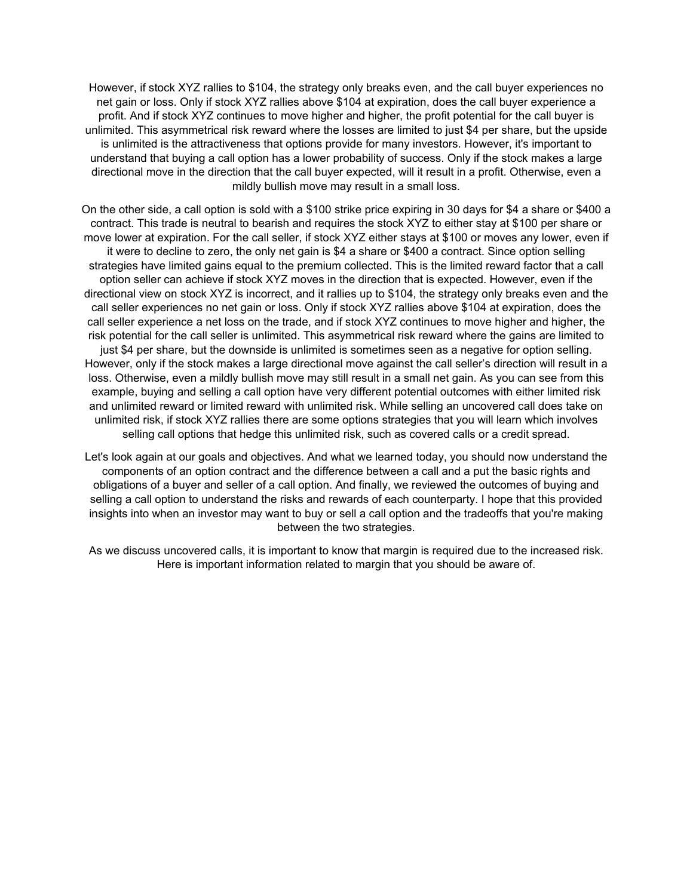However, if stock XYZ rallies to \$104, the strategy only breaks even, and the call buyer experiences no net gain or loss. Only if stock XYZ rallies above \$104 at expiration, does the call buyer experience a profit. And if stock XYZ continues to move higher and higher, the profit potential for the call buyer is unlimited. This asymmetrical risk reward where the losses are limited to just \$4 per share, but the upside is unlimited is the attractiveness that options provide for many investors. However, it's important to understand that buying a call option has a lower probability of success. Only if the stock makes a large directional move in the direction that the call buyer expected, will it result in a profit. Otherwise, even a mildly bullish move may result in a small loss.

On the other side, a call option is sold with a \$100 strike price expiring in 30 days for \$4 a share or \$400 a contract. This trade is neutral to bearish and requires the stock XYZ to either stay at \$100 per share or move lower at expiration. For the call seller, if stock XYZ either stays at \$100 or moves any lower, even if it were to decline to zero, the only net gain is \$4 a share or \$400 a contract. Since option selling strategies have limited gains equal to the premium collected. This is the limited reward factor that a call option seller can achieve if stock XYZ moves in the direction that is expected. However, even if the directional view on stock XYZ is incorrect, and it rallies up to \$104, the strategy only breaks even and the call seller experiences no net gain or loss. Only if stock XYZ rallies above \$104 at expiration, does the call seller experience a net loss on the trade, and if stock XYZ continues to move higher and higher, the risk potential for the call seller is unlimited. This asymmetrical risk reward where the gains are limited to just \$4 per share, but the downside is unlimited is sometimes seen as a negative for option selling. However, only if the stock makes a large directional move against the call seller's direction will result in a loss. Otherwise, even a mildly bullish move may still result in a small net gain. As you can see from this example, buying and selling a call option have very different potential outcomes with either limited risk and unlimited reward or limited reward with unlimited risk. While selling an uncovered call does take on unlimited risk, if stock XYZ rallies there are some options strategies that you will learn which involves selling call options that hedge this unlimited risk, such as covered calls or a credit spread.

Let's look again at our goals and objectives. And what we learned today, you should now understand the components of an option contract and the difference between a call and a put the basic rights and obligations of a buyer and seller of a call option. And finally, we reviewed the outcomes of buying and selling a call option to understand the risks and rewards of each counterparty. I hope that this provided insights into when an investor may want to buy or sell a call option and the tradeoffs that you're making between the two strategies.

As we discuss uncovered calls, it is important to know that margin is required due to the increased risk. Here is important information related to margin that you should be aware of.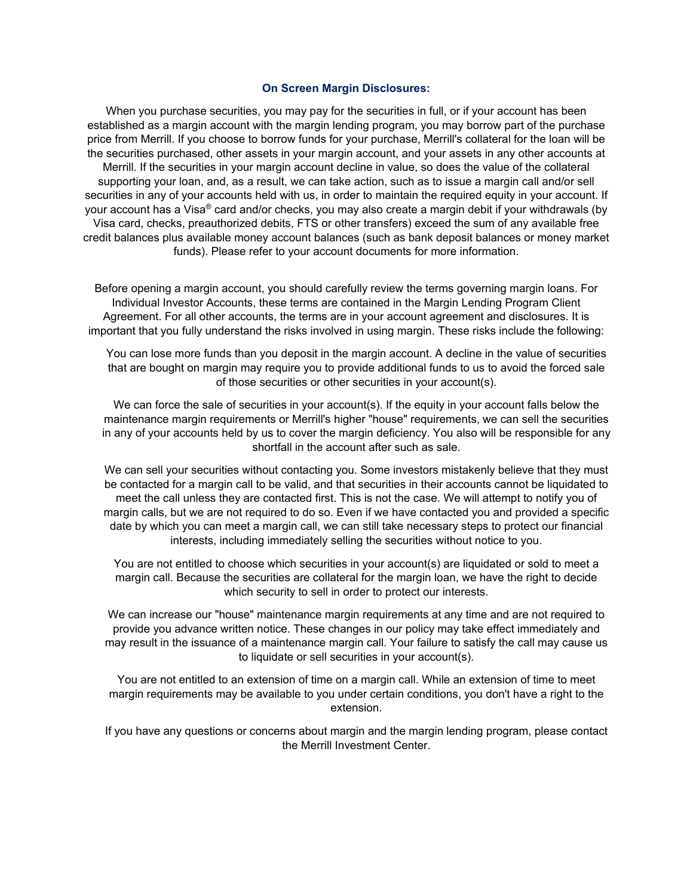#### **On Screen Margin Disclosures:**

When you purchase securities, you may pay for the securities in full, or if your account has been established as a margin account with the margin lending program, you may borrow part of the purchase price from Merrill. If you choose to borrow funds for your purchase, Merrill's collateral for the loan will be the securities purchased, other assets in your margin account, and your assets in any other accounts at Merrill. If the securities in your margin account decline in value, so does the value of the collateral supporting your loan, and, as a result, we can take action, such as to issue a margin call and/or sell securities in any of your accounts held with us, in order to maintain the required equity in your account. If your account has a Visa® card and/or checks, you may also create a margin debit if your withdrawals (by Visa card, checks, preauthorized debits, FTS or other transfers) exceed the sum of any available free credit balances plus available money account balances (such as bank deposit balances or money market funds). Please refer to your account documents for more information.

Before opening a margin account, you should carefully review the terms governing margin loans. For Individual Investor Accounts, these terms are contained in the Margin Lending Program Client Agreement. For all other accounts, the terms are in your account agreement and disclosures. It is important that you fully understand the risks involved in using margin. These risks include the following:

You can lose more funds than you deposit in the margin account. A decline in the value of securities that are bought on margin may require you to provide additional funds to us to avoid the forced sale of those securities or other securities in your account(s).

We can force the sale of securities in your account(s). If the equity in your account falls below the maintenance margin requirements or Merrill's higher "house" requirements, we can sell the securities in any of your accounts held by us to cover the margin deficiency. You also will be responsible for any shortfall in the account after such as sale.

We can sell your securities without contacting you. Some investors mistakenly believe that they must be contacted for a margin call to be valid, and that securities in their accounts cannot be liquidated to meet the call unless they are contacted first. This is not the case. We will attempt to notify you of margin calls, but we are not required to do so. Even if we have contacted you and provided a specific date by which you can meet a margin call, we can still take necessary steps to protect our financial interests, including immediately selling the securities without notice to you.

You are not entitled to choose which securities in your account(s) are liquidated or sold to meet a margin call. Because the securities are collateral for the margin loan, we have the right to decide which security to sell in order to protect our interests.

We can increase our "house" maintenance margin requirements at any time and are not required to provide you advance written notice. These changes in our policy may take effect immediately and may result in the issuance of a maintenance margin call. Your failure to satisfy the call may cause us to liquidate or sell securities in your account(s).

You are not entitled to an extension of time on a margin call. While an extension of time to meet margin requirements may be available to you under certain conditions, you don't have a right to the extension.

If you have any questions or concerns about margin and the margin lending program, please contact the Merrill Investment Center.